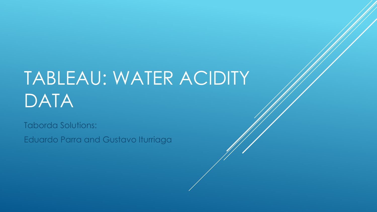# TABLEAU: WATER ACIDITY DATA

Taborda Solutions: Eduardo Parra and Gustavo Iturriaga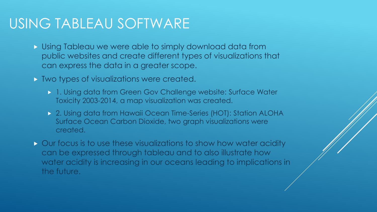#### USING TABLEAU SOFTWARE

- Using Tableau we were able to simply download data from public websites and create different types of visualizations that can express the data in a greater scope.
- $\triangleright$  Two types of visualizations were created.
	- 1. Using data from Green Gov Challenge website: Surface Water Toxicity 2003-2014, a map visualization was created.
	- 2. Using data from Hawaii Ocean Time-Series (HOT): Station ALOHA Surface Ocean Carbon Dioxide, two graph visualizations were created.
- $\triangleright$  Our focus is to use these visualizations to show how water acidity can be expressed through tableau and to also illustrate how water acidity is increasing in our oceans leading to implications in the future.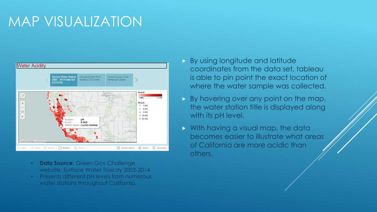### MAP VISUALIZATION



- **Data Source: Green Gov Challenge** website: Surface Water Toxicity 2003-2014
- Presents different pH levels from numerous water stations throughout California.
- By using longitude and latitude coordinates from the data set, tableau is able to pin point the exact location of where the water sample was collected.
- $\triangleright$  By hovering over any point on the map, the water station title is displayed along with its pH level.
- **Notative Mith having a visual map, the datally** becomes easier to illustrate what areas of California are more acidic than others.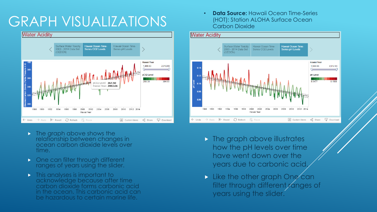## GRAPH VISUALIZATIONS



- $\triangleright$  The graph above shows the relationship between changes in ocean carbon dioxide levels over time.
- **D** One can filter through different ranges of years using the slider.
- **This analyses is important to** acknowledge because after time carbon dioxide forms carbonic acid in the ocean. This carbonic acid can be hazardous to certain marine life.

• **Data Source:** Hawaii Ocean Time-Series (HOT): Station ALOHA Surface Ocean Carbon Dioxide



- $\triangleright$  The graph above illustrates how the pH levels over time have went down over the years due to carbonic acid.
- Like the other graph One can filter through different ranges of years using the slider.